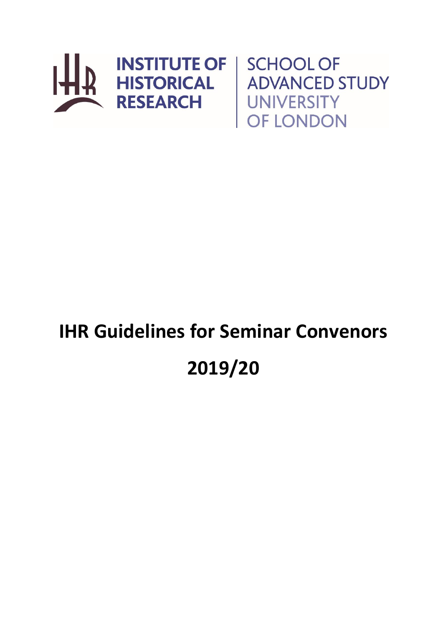

**ADVANCED STUDY UNIVERSITY** OF LONDON

# **IHR Guidelines for Seminar Convenors 2019/20**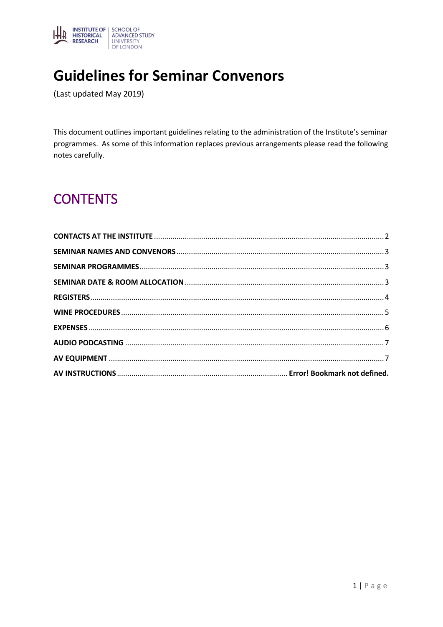

# **Guidelines for Seminar Convenors**

(Last updated May 2019)

This document outlines important guidelines relating to the administration of the Institute's seminar programmes. As some of this information replaces previous arrangements please read the following notes carefully.

# **CONTENTS**

<span id="page-1-0"></span>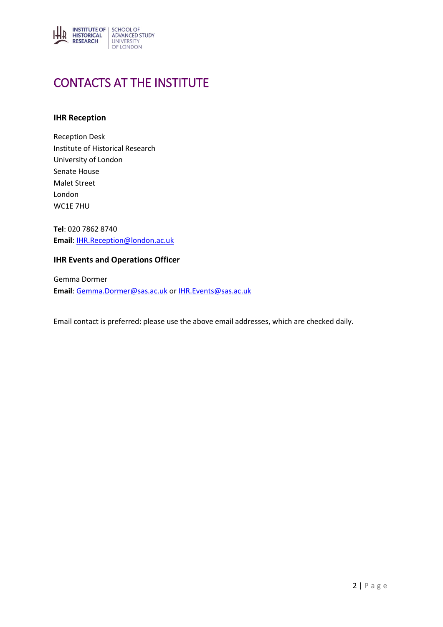

# CONTACTS AT THE INSTITUTE

#### **IHR Reception**

Reception Desk Institute of Historical Research University of London Senate House Malet Street London WC1E 7HU

**Tel**: 020 7862 8740 **Email**[: IHR.Reception@london.ac.uk](mailto:IHR.Reception@london.ac.uk)

#### **IHR Events and Operations Officer**

Gemma Dormer **Email**[: Gemma.Dormer@sas.ac.uk](mailto:Gemma.Dormer@sas.ac.uk) o[r IHR.Events@sas.ac.uk](mailto:IHR.Events@sas.ac.uk)

Email contact is preferred: please use the above email addresses, which are checked daily.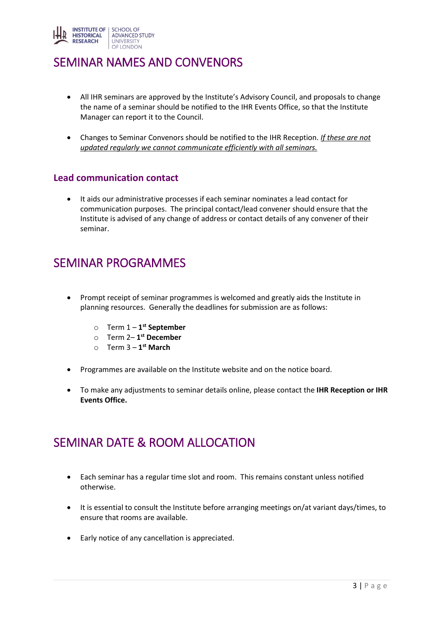

## <span id="page-3-0"></span>SEMINAR NAMES AND CONVENORS

- All IHR seminars are approved by the Institute's Advisory Council, and proposals to change the name of a seminar should be notified to the IHR Events Office, so that the Institute Manager can report it to the Council.
- Changes to Seminar Convenors should be notified to the IHR Reception. *If these are not updated regularly we cannot communicate efficiently with all seminars.*

#### **Lead communication contact**

 It aids our administrative processes if each seminar nominates a lead contact for communication purposes. The principal contact/lead convener should ensure that the Institute is advised of any change of address or contact details of any convener of their seminar.

#### <span id="page-3-1"></span>SEMINAR PROGRAMMES

- Prompt receipt of seminar programmes is welcomed and greatly aids the Institute in planning resources. Generally the deadlines for submission are as follows:
	- o Term 1 **1 st September**
	- o Term 2– **1 st December**
	- o Term 3 **1 st March**
- Programmes are available on the Institute website and on the notice board.
- To make any adjustments to seminar details online, please contact the **IHR Reception or IHR Events Office.**

#### <span id="page-3-2"></span>SEMINAR DATE & ROOM ALLOCATION

- Each seminar has a regular time slot and room. This remains constant unless notified otherwise.
- It is essential to consult the Institute before arranging meetings on/at variant days/times, to ensure that rooms are available.
- Early notice of any cancellation is appreciated.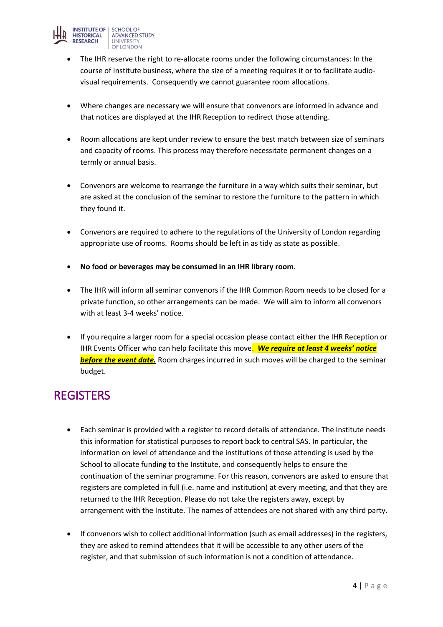

- The IHR reserve the right to re-allocate rooms under the following circumstances: In the course of Institute business, where the size of a meeting requires it or to facilitate audiovisual requirements. Consequently we cannot guarantee room allocations.
- Where changes are necessary we will ensure that convenors are informed in advance and that notices are displayed at the IHR Reception to redirect those attending.
- Room allocations are kept under review to ensure the best match between size of seminars and capacity of rooms. This process may therefore necessitate permanent changes on a termly or annual basis.
- Convenors are welcome to rearrange the furniture in a way which suits their seminar, but are asked at the conclusion of the seminar to restore the furniture to the pattern in which they found it.
- Convenors are required to adhere to the regulations of the University of London regarding appropriate use of rooms. Rooms should be left in as tidy as state as possible.
- **No food or beverages may be consumed in an IHR library room**.
- The IHR will inform all seminar convenors if the IHR Common Room needs to be closed for a private function, so other arrangements can be made. We will aim to inform all convenors with at least 3-4 weeks' notice.
- If you require a larger room for a special occasion please contact either the IHR Reception or IHR Events Officer who can help facilitate this move. *We require at least 4 weeks' notice before the event date.* Room charges incurred in such moves will be charged to the seminar budget.

# <span id="page-4-0"></span>**REGISTERS**

- Each seminar is provided with a register to record details of attendance. The Institute needs this information for statistical purposes to report back to central SAS. In particular, the information on level of attendance and the institutions of those attending is used by the School to allocate funding to the Institute, and consequently helps to ensure the continuation of the seminar programme. For this reason, convenors are asked to ensure that registers are completed in full (i.e. name and institution) at every meeting, and that they are returned to the IHR Reception. Please do not take the registers away, except by arrangement with the Institute. The names of attendees are not shared with any third party.
- If convenors wish to collect additional information (such as email addresses) in the registers, they are asked to remind attendees that it will be accessible to any other users of the register, and that submission of such information is not a condition of attendance.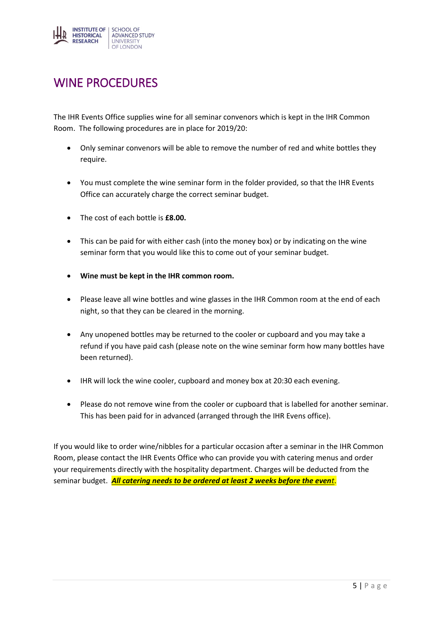

## <span id="page-5-0"></span>WINE PROCEDURES

The IHR Events Office supplies wine for all seminar convenors which is kept in the IHR Common Room. The following procedures are in place for 2019/20:

- Only seminar convenors will be able to remove the number of red and white bottles they require.
- You must complete the wine seminar form in the folder provided, so that the IHR Events Office can accurately charge the correct seminar budget.
- The cost of each bottle is **£8.00.**
- This can be paid for with either cash (into the money box) or by indicating on the wine seminar form that you would like this to come out of your seminar budget.
- **Wine must be kept in the IHR common room.**
- Please leave all wine bottles and wine glasses in the IHR Common room at the end of each night, so that they can be cleared in the morning.
- Any unopened bottles may be returned to the cooler or cupboard and you may take a refund if you have paid cash (please note on the wine seminar form how many bottles have been returned).
- IHR will lock the wine cooler, cupboard and money box at 20:30 each evening.
- Please do not remove wine from the cooler or cupboard that is labelled for another seminar. This has been paid for in advanced (arranged through the IHR Evens office).

If you would like to order wine/nibbles for a particular occasion after a seminar in the IHR Common Room, please contact the IHR Events Office who can provide you with catering menus and order your requirements directly with the hospitality department. Charges will be deducted from the seminar budget. *All catering needs to be ordered at least 2 weeks before the event*.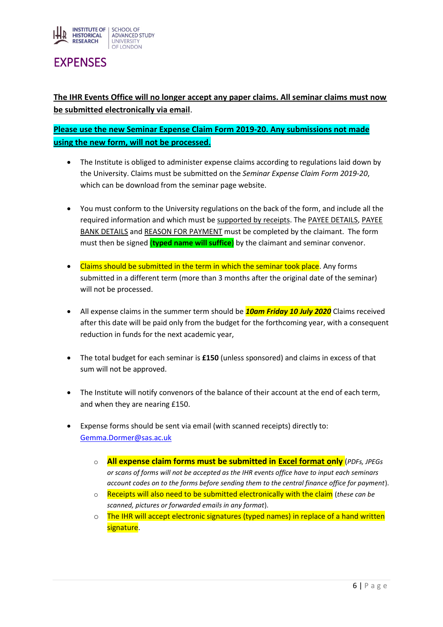

## <span id="page-6-0"></span>**FXPENSES**

**The IHR Events Office will no longer accept any paper claims. All seminar claims must now be submitted electronically via email**.

**Please use the new Seminar Expense Claim Form 2019-20. Any submissions not made using the new form, will not be processed.**

- The Institute is obliged to administer expense claims according to regulations laid down by the University. Claims must be submitted on the *Seminar Expense Claim Form 2019-20*, which can be download from the seminar page website.
- You must conform to the University regulations on the back of the form, and include all the required information and which must be supported by receipts. The PAYEE DETAILS, PAYEE BANK DETAILS and REASON FOR PAYMENT must be completed by the claimant. The form must then be signed (**typed name will suffice**) by the claimant and seminar convenor.
- Claims should be submitted in the term in which the seminar took place. Any forms submitted in a different term (more than 3 months after the original date of the seminar) will not be processed.
- All expense claims in the summer term should be *10am Friday 10 July 2020* Claims received after this date will be paid only from the budget for the forthcoming year, with a consequent reduction in funds for the next academic year,
- The total budget for each seminar is **£150** (unless sponsored) and claims in excess of that sum will not be approved.
- The Institute will notify convenors of the balance of their account at the end of each term, and when they are nearing £150.
- Expense forms should be sent via email (with scanned receipts) directly to: [Gemma.Dormer@sas.ac.uk](mailto:Gemma.Dormer@sas.ac.uk)
	- o **All expense claim forms must be submitted in Excel format only** (*PDFs, JPEGs or scans of forms will not be accepted as the IHR events office have to input each seminars account codes on to the forms before sending them to the central finance office for payment*).
	- o Receipts will also need to be submitted electronically with the claim (*these can be scanned, pictures or forwarded emails in any format*).
	- $\circ$  The IHR will accept electronic signatures (typed names) in replace of a hand written signature.